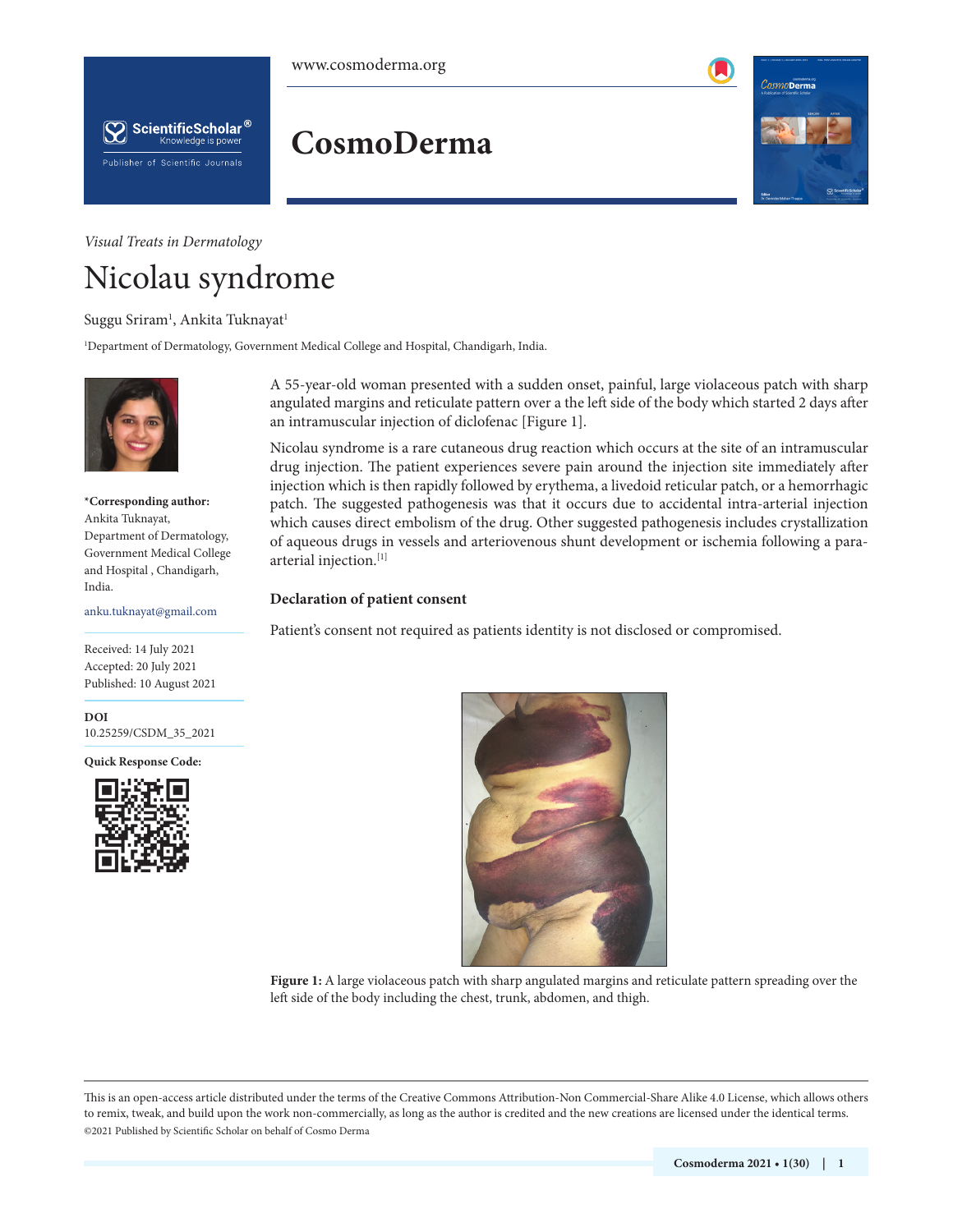# **CosmoDerma**



# *Visual Treats in Dermatology*

Publisher of Scientific Journals

ScientificScholar<sup>®</sup> Knowledge is power

# Nicolau syndrome

# Suggu Sriram<sup>1</sup>, Ankita Tuknayat<sup>1</sup>

1 Department of Dermatology, Government Medical College and Hospital, Chandigarh, India.



**\*Corresponding author:** Ankita Tuknayat, Department of Dermatology, Government Medical College and Hospital , Chandigarh, India.

anku.tuknayat@gmail.com

Received: 14 July 2021 Accepted: 20 July 2021 Published: 10 August 2021

**DOI** [10.25259/CSDM\\_35\\_2021](https://dx.doi.org/10.25259/CSDM_35_2021)

**Quick Response Code:**



A 55-year-old woman presented with a sudden onset, painful, large violaceous patch with sharp angulated margins and reticulate pattern over a the left side of the body which started 2 days after an intramuscular injection of diclofenac [Figure 1].

Nicolau syndrome is a rare cutaneous drug reaction which occurs at the site of an intramuscular drug injection. The patient experiences severe pain around the injection site immediately after injection which is then rapidly followed by erythema, a livedoid reticular patch, or a hemorrhagic patch. The suggested pathogenesis was that it occurs due to accidental intra-arterial injection which causes direct embolism of the drug. Other suggested pathogenesis includes crystallization of aqueous drugs in vessels and arteriovenous shunt development or ischemia following a paraarterial injection.[1]

#### **Declaration of patient consent**

Patient's consent not required as patients identity is not disclosed or compromised.



**Figure 1:** A large violaceous patch with sharp angulated margins and reticulate pattern spreading over the left side of the body including the chest, trunk, abdomen, and thigh.

is is an open-access article distributed under the terms of the Creative Commons Attribution-Non Commercial-Share Alike 4.0 License, which allows others to remix, tweak, and build upon the work non-commercially, as long as the author is credited and the new creations are licensed under the identical terms. ©2021 Published by Scientific Scholar on behalf of Cosmo Derma